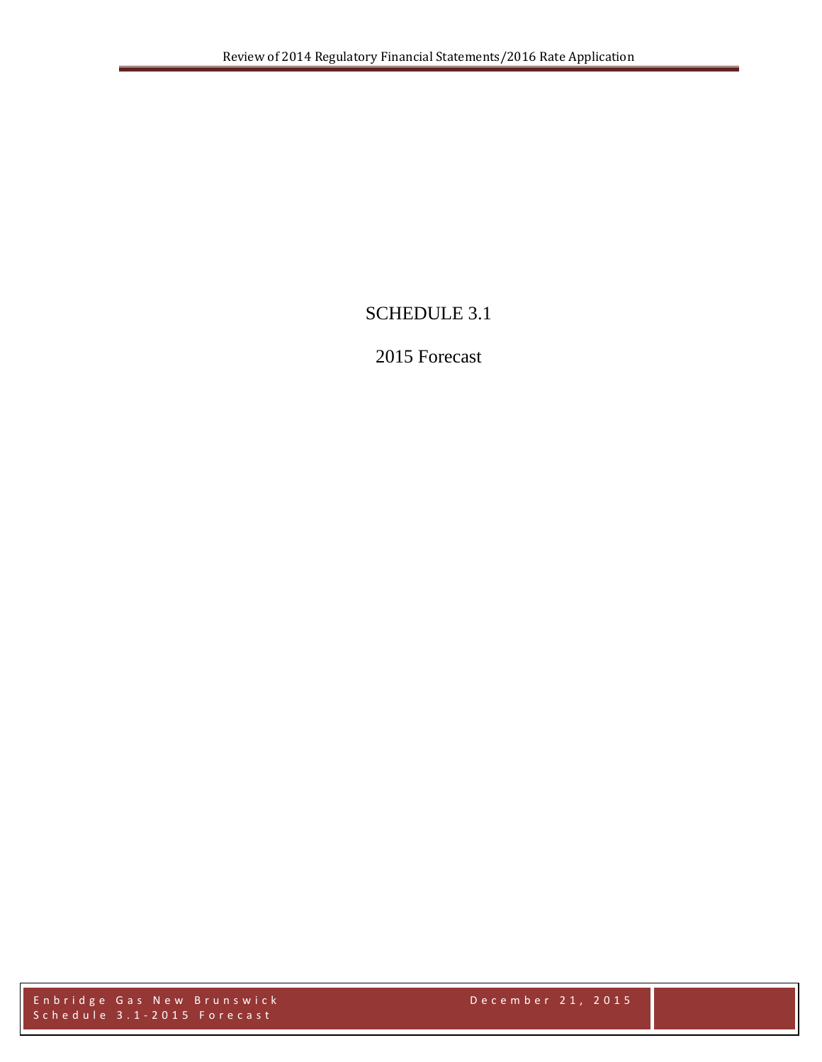# SCHEDULE 3.1

# 2015 Forecast

Enbridge Gas New Brunswick December 21, 2015 Schedule 3.1 - 2015 Forecast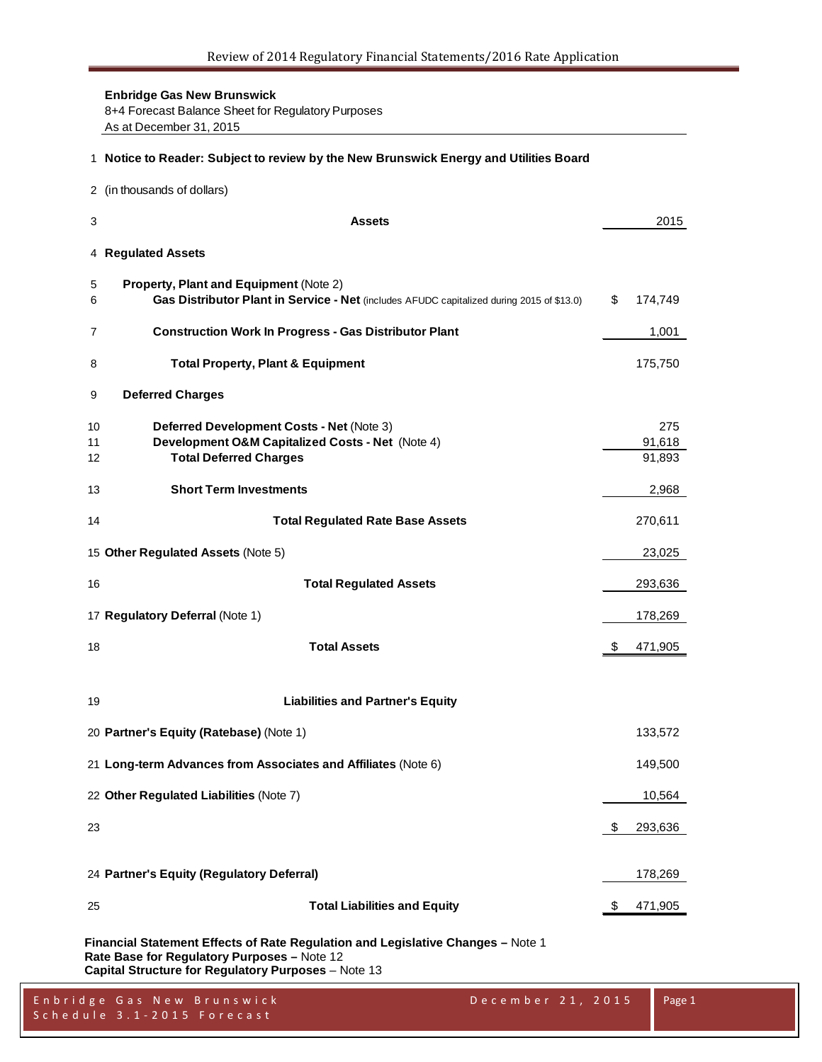**Enbridge Gas New Brunswick** 8+4 Forecast Balance Sheet for Regulatory Purposes As at December 31, 2015

#### **Notice to Reader: Subject to review by the New Brunswick Energy and Utilities Board**

(in thousands of dollars)

| 4 Regulated Assets<br>Property, Plant and Equipment (Note 2)<br>5<br>Gas Distributor Plant in Service - Net (includes AFUDC capitalized during 2015 of \$13.0)<br>\$<br>6<br><b>Construction Work In Progress - Gas Distributor Plant</b><br>7<br><b>Total Property, Plant &amp; Equipment</b><br>8<br><b>Deferred Charges</b><br>9<br>Deferred Development Costs - Net (Note 3)<br>10<br>Development O&M Capitalized Costs - Net (Note 4)<br>11<br><b>Total Deferred Charges</b><br>12<br><b>Short Term Investments</b><br>13<br>14<br><b>Total Regulated Rate Base Assets</b><br>15 Other Regulated Assets (Note 5)<br><b>Total Regulated Assets</b><br>16<br>17 Regulatory Deferral (Note 1)<br><b>Total Assets</b><br>\$<br>18<br><b>Liabilities and Partner's Equity</b><br>19<br>20 Partner's Equity (Ratebase) (Note 1)<br>21 Long-term Advances from Associates and Affiliates (Note 6)<br>22 Other Regulated Liabilities (Note 7)<br>\$<br>23<br>24 Partner's Equity (Regulatory Deferral)<br><b>Total Liabilities and Equity</b><br>25<br>\$ | 3 | <b>Assets</b> | 2015                    |
|--------------------------------------------------------------------------------------------------------------------------------------------------------------------------------------------------------------------------------------------------------------------------------------------------------------------------------------------------------------------------------------------------------------------------------------------------------------------------------------------------------------------------------------------------------------------------------------------------------------------------------------------------------------------------------------------------------------------------------------------------------------------------------------------------------------------------------------------------------------------------------------------------------------------------------------------------------------------------------------------------------------------------------------------------------|---|---------------|-------------------------|
|                                                                                                                                                                                                                                                                                                                                                                                                                                                                                                                                                                                                                                                                                                                                                                                                                                                                                                                                                                                                                                                        |   |               |                         |
|                                                                                                                                                                                                                                                                                                                                                                                                                                                                                                                                                                                                                                                                                                                                                                                                                                                                                                                                                                                                                                                        |   |               | 174,749                 |
|                                                                                                                                                                                                                                                                                                                                                                                                                                                                                                                                                                                                                                                                                                                                                                                                                                                                                                                                                                                                                                                        |   |               | 1,001                   |
|                                                                                                                                                                                                                                                                                                                                                                                                                                                                                                                                                                                                                                                                                                                                                                                                                                                                                                                                                                                                                                                        |   |               | 175,750                 |
|                                                                                                                                                                                                                                                                                                                                                                                                                                                                                                                                                                                                                                                                                                                                                                                                                                                                                                                                                                                                                                                        |   |               |                         |
|                                                                                                                                                                                                                                                                                                                                                                                                                                                                                                                                                                                                                                                                                                                                                                                                                                                                                                                                                                                                                                                        |   |               | 275<br>91,618<br>91,893 |
|                                                                                                                                                                                                                                                                                                                                                                                                                                                                                                                                                                                                                                                                                                                                                                                                                                                                                                                                                                                                                                                        |   |               | 2,968                   |
|                                                                                                                                                                                                                                                                                                                                                                                                                                                                                                                                                                                                                                                                                                                                                                                                                                                                                                                                                                                                                                                        |   |               | 270,611                 |
|                                                                                                                                                                                                                                                                                                                                                                                                                                                                                                                                                                                                                                                                                                                                                                                                                                                                                                                                                                                                                                                        |   |               | 23,025                  |
|                                                                                                                                                                                                                                                                                                                                                                                                                                                                                                                                                                                                                                                                                                                                                                                                                                                                                                                                                                                                                                                        |   |               | 293,636                 |
|                                                                                                                                                                                                                                                                                                                                                                                                                                                                                                                                                                                                                                                                                                                                                                                                                                                                                                                                                                                                                                                        |   |               | 178,269                 |
|                                                                                                                                                                                                                                                                                                                                                                                                                                                                                                                                                                                                                                                                                                                                                                                                                                                                                                                                                                                                                                                        |   |               | 471,905                 |
|                                                                                                                                                                                                                                                                                                                                                                                                                                                                                                                                                                                                                                                                                                                                                                                                                                                                                                                                                                                                                                                        |   |               |                         |
|                                                                                                                                                                                                                                                                                                                                                                                                                                                                                                                                                                                                                                                                                                                                                                                                                                                                                                                                                                                                                                                        |   |               | 133,572                 |
|                                                                                                                                                                                                                                                                                                                                                                                                                                                                                                                                                                                                                                                                                                                                                                                                                                                                                                                                                                                                                                                        |   |               | 149,500                 |
|                                                                                                                                                                                                                                                                                                                                                                                                                                                                                                                                                                                                                                                                                                                                                                                                                                                                                                                                                                                                                                                        |   |               | 10,564                  |
|                                                                                                                                                                                                                                                                                                                                                                                                                                                                                                                                                                                                                                                                                                                                                                                                                                                                                                                                                                                                                                                        |   |               | 293,636                 |
|                                                                                                                                                                                                                                                                                                                                                                                                                                                                                                                                                                                                                                                                                                                                                                                                                                                                                                                                                                                                                                                        |   |               | 178,269                 |
|                                                                                                                                                                                                                                                                                                                                                                                                                                                                                                                                                                                                                                                                                                                                                                                                                                                                                                                                                                                                                                                        |   |               | 471,905                 |

**Financial Statement Effects of Rate Regulation and Legislative Changes –** Note 1 **Rate Base for Regulatory Purposes –** Note 12 **Capital Structure for Regulatory Purposes** – Note 13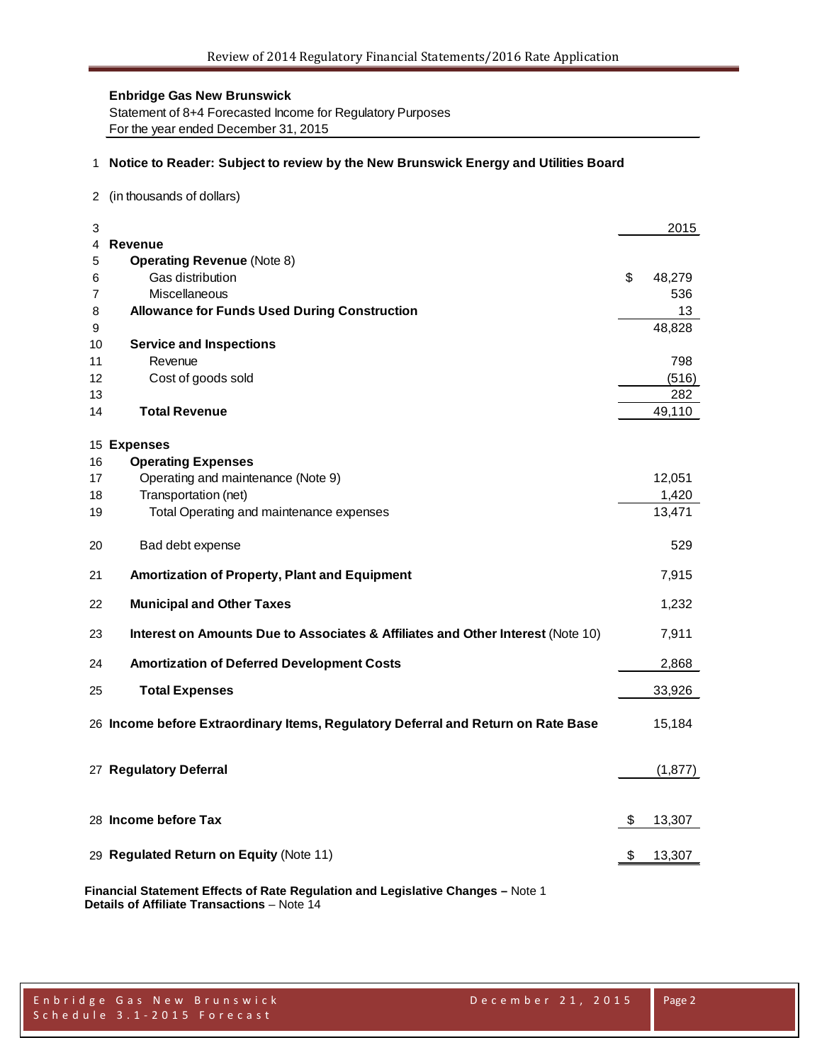Statement of 8+4 Forecasted Income for Regulatory Purposes For the year ended December 31, 2015

# 1 **Notice to Reader: Subject to review by the New Brunswick Energy and Utilities Board**

2 (in thousands of dollars)

| 3      |                                                                                   | 2015          |
|--------|-----------------------------------------------------------------------------------|---------------|
| 4      | Revenue                                                                           |               |
| 5      | <b>Operating Revenue (Note 8)</b><br>Gas distribution                             | \$<br>48,279  |
| 6<br>7 | Miscellaneous                                                                     | 536           |
| 8      | <b>Allowance for Funds Used During Construction</b>                               | 13            |
| 9      |                                                                                   | 48,828        |
| 10     | <b>Service and Inspections</b>                                                    |               |
| 11     | Revenue                                                                           | 798           |
|        |                                                                                   |               |
| 12     | Cost of goods sold                                                                | (516)         |
| 13     |                                                                                   | 282<br>49,110 |
| 14     | <b>Total Revenue</b>                                                              |               |
|        | 15 Expenses                                                                       |               |
| 16     | <b>Operating Expenses</b>                                                         |               |
| 17     | Operating and maintenance (Note 9)                                                | 12,051        |
| 18     | Transportation (net)                                                              | 1,420         |
| 19     | Total Operating and maintenance expenses                                          | 13,471        |
|        |                                                                                   |               |
| 20     | Bad debt expense                                                                  | 529           |
| 21     | Amortization of Property, Plant and Equipment                                     | 7,915         |
| 22     | <b>Municipal and Other Taxes</b>                                                  | 1,232         |
| 23     | Interest on Amounts Due to Associates & Affiliates and Other Interest (Note 10)   | 7,911         |
| 24     | <b>Amortization of Deferred Development Costs</b>                                 | 2,868         |
| 25     | <b>Total Expenses</b>                                                             | 33,926        |
|        | 26 Income before Extraordinary Items, Regulatory Deferral and Return on Rate Base | 15,184        |
|        | 27 Regulatory Deferral                                                            | (1, 877)      |
|        | 28 Income before Tax                                                              | \$<br>13,307  |
|        |                                                                                   |               |
|        | 29 Regulated Return on Equity (Note 11)                                           | \$<br>13,307  |
|        |                                                                                   |               |

**Financial Statement Effects of Rate Regulation and Legislative Changes –** Note 1 **Details of Affiliate Transactions** – Note 14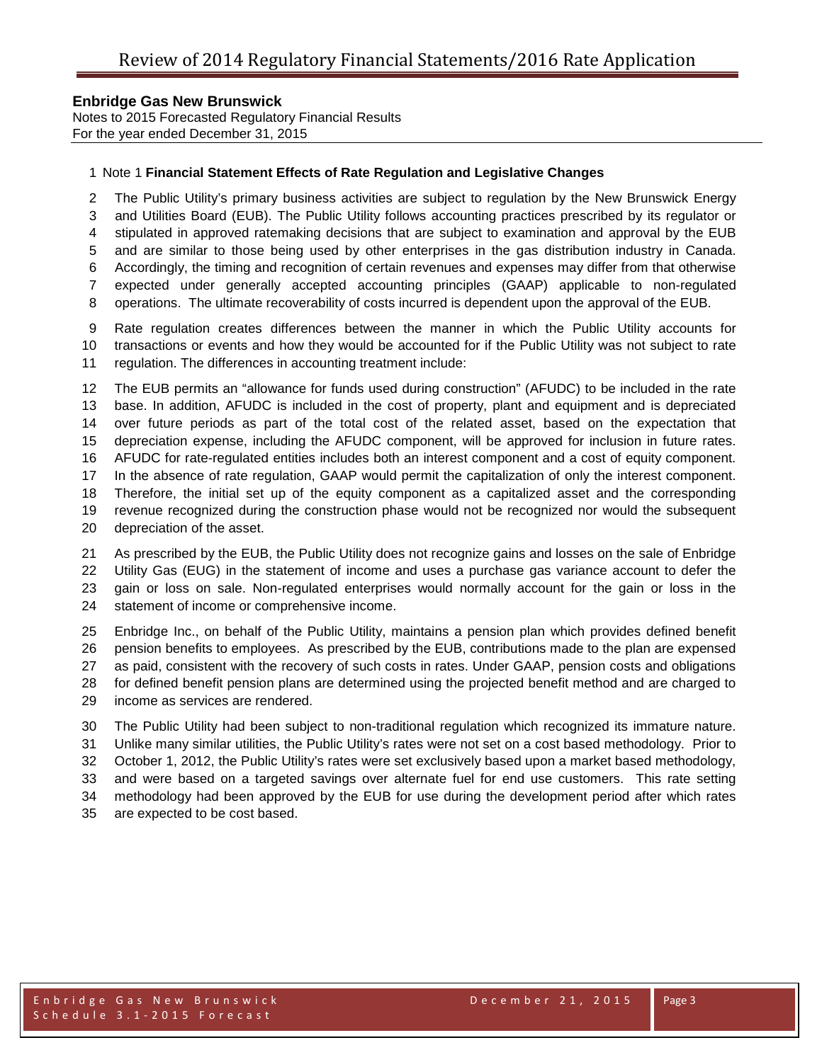Notes to 2015 Forecasted Regulatory Financial Results For the year ended December 31, 2015

# Note 1 **Financial Statement Effects of Rate Regulation and Legislative Changes**

 The Public Utility's primary business activities are subject to regulation by the New Brunswick Energy and Utilities Board (EUB). The Public Utility follows accounting practices prescribed by its regulator or stipulated in approved ratemaking decisions that are subject to examination and approval by the EUB and are similar to those being used by other enterprises in the gas distribution industry in Canada. Accordingly, the timing and recognition of certain revenues and expenses may differ from that otherwise expected under generally accepted accounting principles (GAAP) applicable to non-regulated

operations. The ultimate recoverability of costs incurred is dependent upon the approval of the EUB.

 Rate regulation creates differences between the manner in which the Public Utility accounts for transactions or events and how they would be accounted for if the Public Utility was not subject to rate regulation. The differences in accounting treatment include:

 The EUB permits an "allowance for funds used during construction" (AFUDC) to be included in the rate base. In addition, AFUDC is included in the cost of property, plant and equipment and is depreciated over future periods as part of the total cost of the related asset, based on the expectation that depreciation expense, including the AFUDC component, will be approved for inclusion in future rates. AFUDC for rate-regulated entities includes both an interest component and a cost of equity component. In the absence of rate regulation, GAAP would permit the capitalization of only the interest component. Therefore, the initial set up of the equity component as a capitalized asset and the corresponding revenue recognized during the construction phase would not be recognized nor would the subsequent depreciation of the asset.

 As prescribed by the EUB, the Public Utility does not recognize gains and losses on the sale of Enbridge Utility Gas (EUG) in the statement of income and uses a purchase gas variance account to defer the gain or loss on sale. Non-regulated enterprises would normally account for the gain or loss in the statement of income or comprehensive income.

 Enbridge Inc., on behalf of the Public Utility, maintains a pension plan which provides defined benefit pension benefits to employees. As prescribed by the EUB, contributions made to the plan are expensed as paid, consistent with the recovery of such costs in rates. Under GAAP, pension costs and obligations for defined benefit pension plans are determined using the projected benefit method and are charged to income as services are rendered.

 The Public Utility had been subject to non-traditional regulation which recognized its immature nature. Unlike many similar utilities, the Public Utility's rates were not set on a cost based methodology. Prior to October 1, 2012, the Public Utility's rates were set exclusively based upon a market based methodology, and were based on a targeted savings over alternate fuel for end use customers. This rate setting methodology had been approved by the EUB for use during the development period after which rates are expected to be cost based.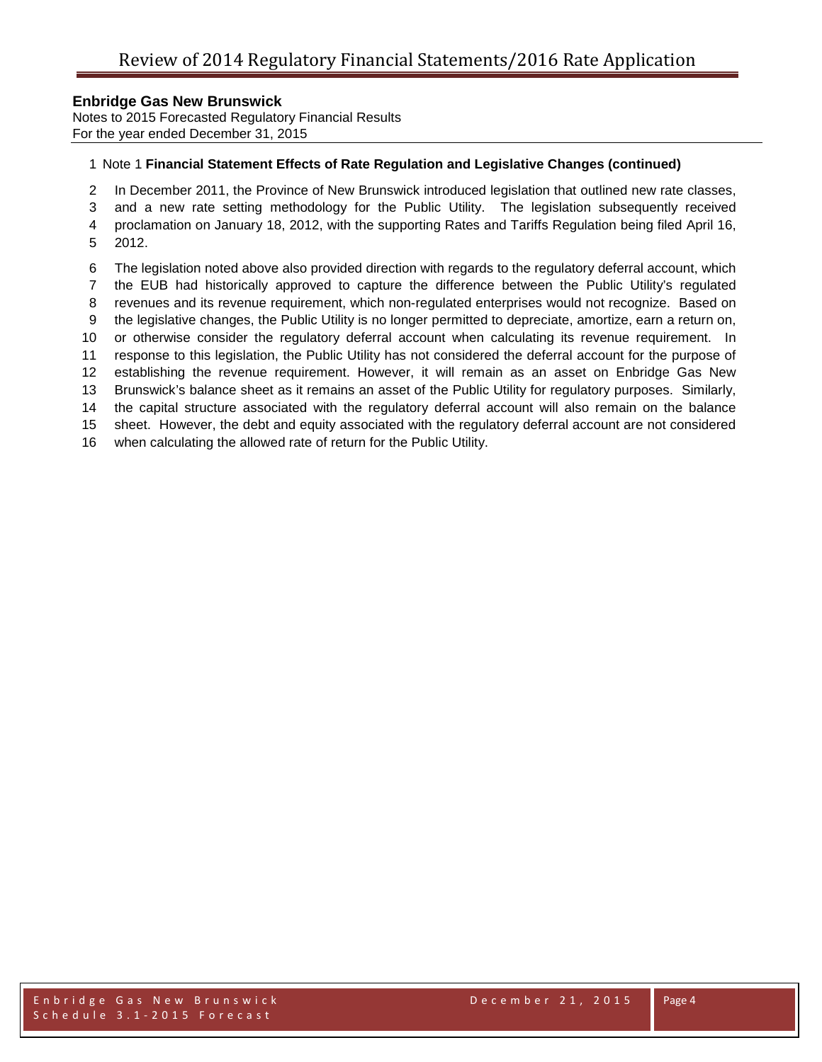Notes to 2015 Forecasted Regulatory Financial Results For the year ended December 31, 2015

# Note 1 **Financial Statement Effects of Rate Regulation and Legislative Changes (continued)**

In December 2011, the Province of New Brunswick introduced legislation that outlined new rate classes,

and a new rate setting methodology for the Public Utility. The legislation subsequently received

proclamation on January 18, 2012, with the supporting Rates and Tariffs Regulation being filed April 16,

- 2012.
- The legislation noted above also provided direction with regards to the regulatory deferral account, which
- the EUB had historically approved to capture the difference between the Public Utility's regulated
- revenues and its revenue requirement, which non-regulated enterprises would not recognize. Based on
- the legislative changes, the Public Utility is no longer permitted to depreciate, amortize, earn a return on,
- or otherwise consider the regulatory deferral account when calculating its revenue requirement. In
- response to this legislation, the Public Utility has not considered the deferral account for the purpose of

establishing the revenue requirement. However, it will remain as an asset on Enbridge Gas New

Brunswick's balance sheet as it remains an asset of the Public Utility for regulatory purposes. Similarly,

 the capital structure associated with the regulatory deferral account will also remain on the balance sheet. However, the debt and equity associated with the regulatory deferral account are not considered

when calculating the allowed rate of return for the Public Utility.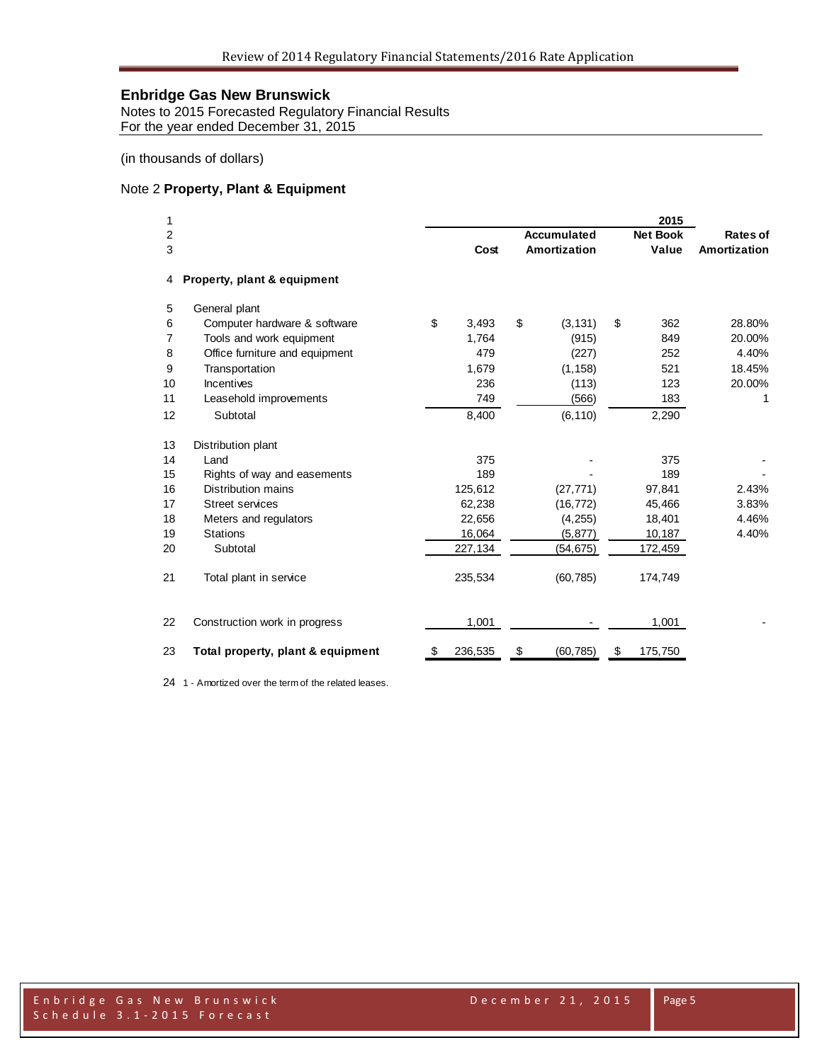Notes to 2015 Forecasted Regulatory Financial Results For the year ended December 31, 2015

(in thousands of dollars)

# Note 2 **Property, Plant & Equipment**

| 1  |                                   |    |         |                    | 2015            |              |
|----|-----------------------------------|----|---------|--------------------|-----------------|--------------|
| 2  |                                   |    |         | <b>Accumulated</b> | <b>Net Book</b> | Rates of     |
| 3  |                                   |    | Cost    | Amortization       | Value           | Amortization |
| 4  | Property, plant & equipment       |    |         |                    |                 |              |
| 5  | General plant                     |    |         |                    |                 |              |
| 6  | Computer hardware & software      | \$ | 3,493   | \$<br>(3, 131)     | \$<br>362       | 28.80%       |
| 7  | Tools and work equipment          |    | 1,764   | (915)              | 849             | 20.00%       |
| 8  | Office furniture and equipment    |    | 479     | (227)              | 252             | 4.40%        |
| 9  | Transportation                    |    | 1,679   | (1, 158)           | 521             | 18.45%       |
| 10 | Incentives                        |    | 236     | (113)              | 123             | 20.00%       |
| 11 | Leasehold improvements            |    | 749     | (566)              | 183             | 1            |
| 12 | Subtotal                          |    | 8,400   | (6, 110)           | 2,290           |              |
| 13 | Distribution plant                |    |         |                    |                 |              |
| 14 | Land                              |    | 375     |                    | 375             |              |
| 15 | Rights of way and easements       |    | 189     |                    | 189             |              |
| 16 | <b>Distribution mains</b>         |    | 125,612 | (27, 771)          | 97,841          | 2.43%        |
| 17 | <b>Street services</b>            |    | 62,238  | (16, 772)          | 45,466          | 3.83%        |
| 18 | Meters and regulators             |    | 22,656  | (4, 255)           | 18,401          | 4.46%        |
| 19 | <b>Stations</b>                   |    | 16,064  | (5, 877)           | 10,187          | 4.40%        |
| 20 | Subtotal                          |    | 227,134 | (54,675)           | 172,459         |              |
| 21 | Total plant in service            |    | 235,534 | (60, 785)          | 174,749         |              |
| 22 | Construction work in progress     |    | 1,001   |                    | 1,001           |              |
| 23 | Total property, plant & equipment | S  | 236,535 | \$<br>(60, 785)    | \$<br>175,750   |              |

1 - Amortized over the term of the related leases.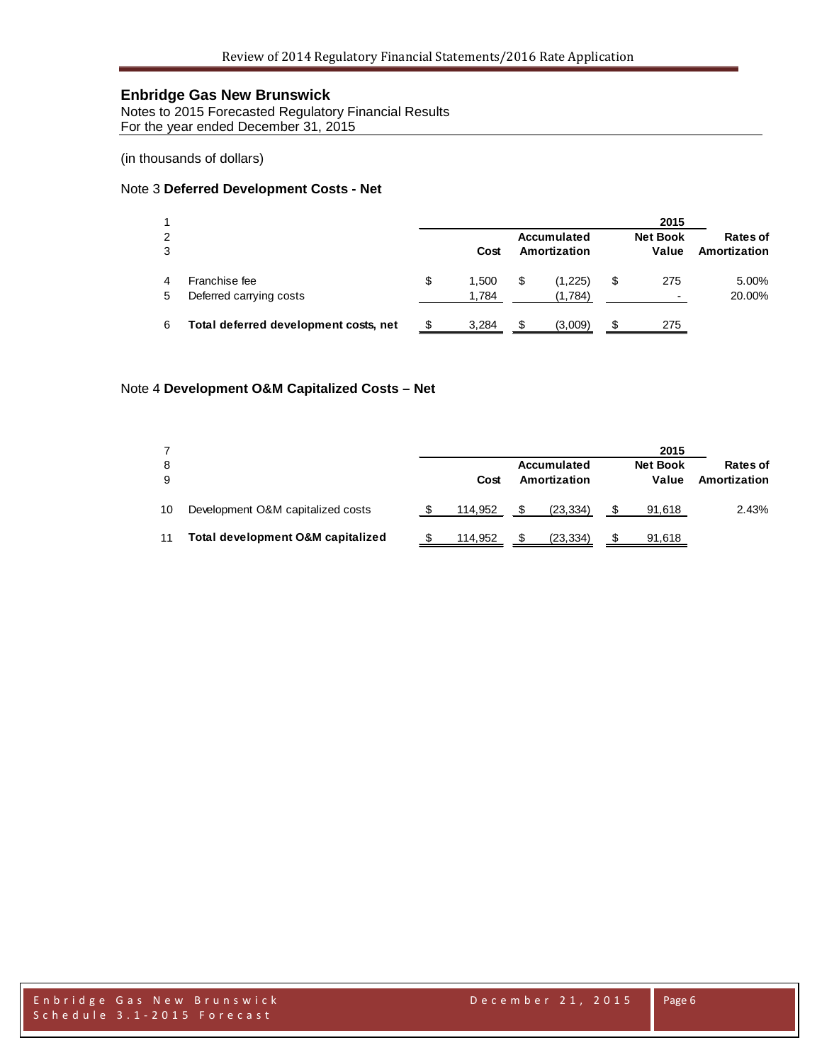Notes to 2015 Forecasted Regulatory Financial Results For the year ended December 31, 2015

(in thousands of dollars)

#### Note 3 **Deferred Development Costs - Net**

|        |                                          |                      |    |                             | 2015                            |                          |
|--------|------------------------------------------|----------------------|----|-----------------------------|---------------------------------|--------------------------|
| 2<br>3 |                                          | Cost                 |    | Accumulated<br>Amortization | <b>Net Book</b><br>Value        | Rates of<br>Amortization |
| 5      | Franchise fee<br>Deferred carrying costs | \$<br>1.500<br>1,784 | \$ | (1,225)<br>(1,784)          | 275<br>$\overline{\phantom{0}}$ | 5.00%<br>20.00%          |
| 6      | Total deferred development costs, net    | 3,284                | S  | (3,009)                     | 275                             |                          |

# Note 4 **Development O&M Capitalized Costs – Net**

| 8<br>9 |                                   | Cost    | Accumulated<br>Amortization |           | 2015<br><b>Net Book</b><br>Value | Rates of<br>Amortization |
|--------|-----------------------------------|---------|-----------------------------|-----------|----------------------------------|--------------------------|
| 10     | Development O&M capitalized costs | 114.952 | -S                          | (23, 334) | 91,618                           | 2.43%                    |
| 11     | Total development O&M capitalized | 114.952 | \$.                         | (23, 334) | 91,618                           |                          |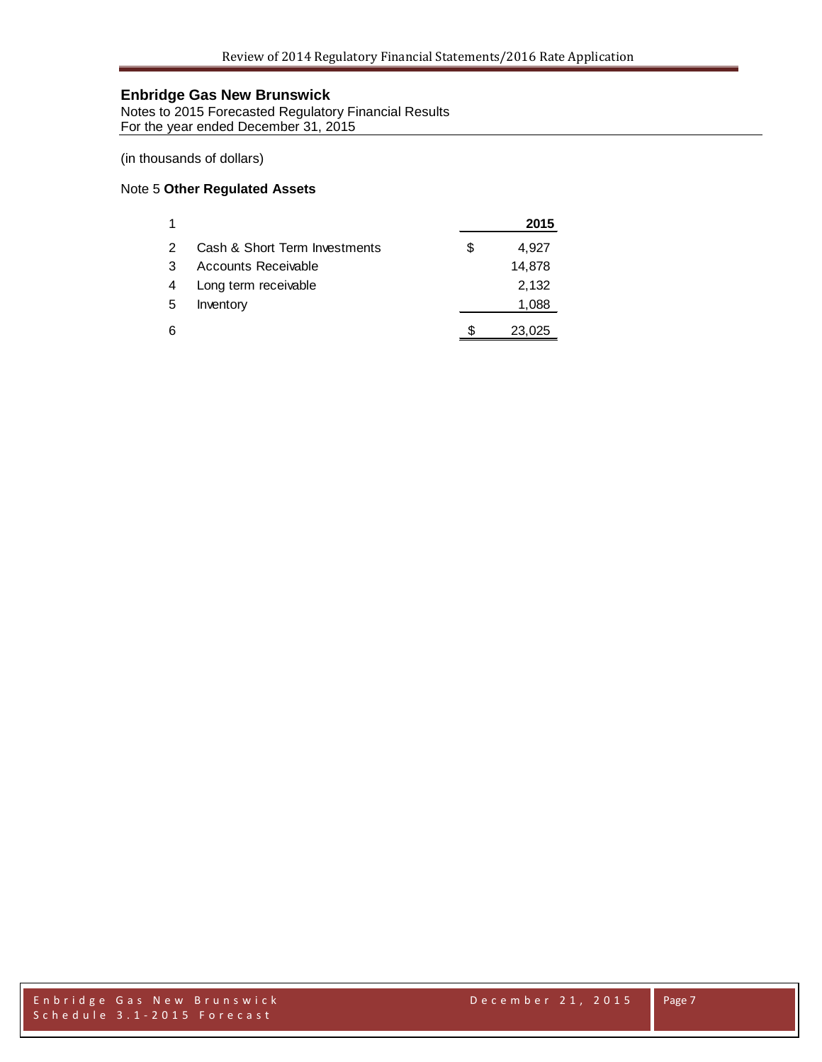Notes to 2015 Forecasted Regulatory Financial Results For the year ended December 31, 2015

(in thousands of dollars)

# Note 5 **Other Regulated Assets**

| 1             |                               |   | 2015   |
|---------------|-------------------------------|---|--------|
| $\mathcal{P}$ | Cash & Short Term Investments | S | 4,927  |
| 3             | Accounts Receivable           |   | 14,878 |
| 4             | Long term receivable          |   | 2,132  |
| 5             | Inventory                     |   | 1,088  |
| 6             |                               |   | 23,025 |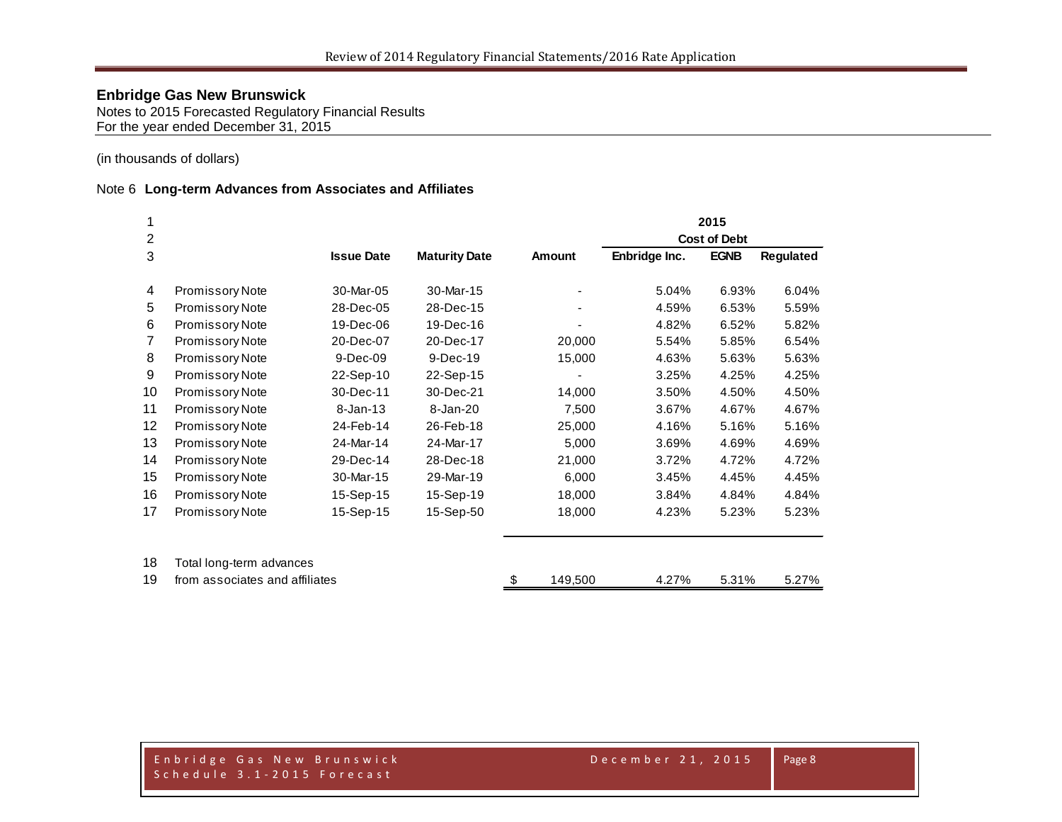Notes to 2015 Forecasted Regulatory Financial Results For the year ended December 31, 2015

(in thousands of dollars)

# Note 6 **Long-term Advances from Associates and Affiliates**

|                 |                                |                   |                      |               |               | 2015                |                  |
|-----------------|--------------------------------|-------------------|----------------------|---------------|---------------|---------------------|------------------|
| 2               |                                |                   |                      |               |               | <b>Cost of Debt</b> |                  |
| 3               |                                | <b>Issue Date</b> | <b>Maturity Date</b> | Amount        | Enbridge Inc. | <b>EGNB</b>         | <b>Regulated</b> |
| 4               | Promissory Note                | 30-Mar-05         | 30-Mar-15            |               | 5.04%         | 6.93%               | 6.04%            |
| 5               | Promissory Note                | 28-Dec-05         | 28-Dec-15            |               | 4.59%         | 6.53%               | 5.59%            |
| 6               | <b>Promissory Note</b>         | 19-Dec-06         | 19-Dec-16            |               | 4.82%         | 6.52%               | 5.82%            |
| $\overline{7}$  | Promissory Note                | 20-Dec-07         | 20-Dec-17            | 20,000        | 5.54%         | 5.85%               | 6.54%            |
| 8               | Promissory Note                | 9-Dec-09          | 9-Dec-19             | 15,000        | 4.63%         | 5.63%               | 5.63%            |
| 9               | Promissory Note                | 22-Sep-10         | 22-Sep-15            |               | 3.25%         | 4.25%               | 4.25%            |
| 10              | Promissory Note                | 30-Dec-11         | 30-Dec-21            | 14,000        | 3.50%         | 4.50%               | 4.50%            |
| 11              | Promissory Note                | $8 - Jan - 13$    | 8-Jan-20             | 7,500         | 3.67%         | 4.67%               | 4.67%            |
| 12 <sub>2</sub> | Promissory Note                | 24-Feb-14         | 26-Feb-18            | 25,000        | 4.16%         | 5.16%               | 5.16%            |
| 13              | Promissory Note                | 24-Mar-14         | 24-Mar-17            | 5,000         | 3.69%         | 4.69%               | 4.69%            |
| 14              | Promissory Note                | 29-Dec-14         | 28-Dec-18            | 21,000        | 3.72%         | 4.72%               | 4.72%            |
| 15              | Promissory Note                | 30-Mar-15         | 29-Mar-19            | 6,000         | 3.45%         | 4.45%               | 4.45%            |
| 16              | <b>Promissory Note</b>         | 15-Sep-15         | 15-Sep-19            | 18,000        | 3.84%         | 4.84%               | 4.84%            |
| 17              | Promissory Note                | 15-Sep-15         | 15-Sep-50            | 18,000        | 4.23%         | 5.23%               | 5.23%            |
| 18              | Total long-term advances       |                   |                      |               |               |                     |                  |
| 19              | from associates and affiliates |                   |                      | 149,500<br>\$ | 4.27%         | 5.31%               | 5.27%            |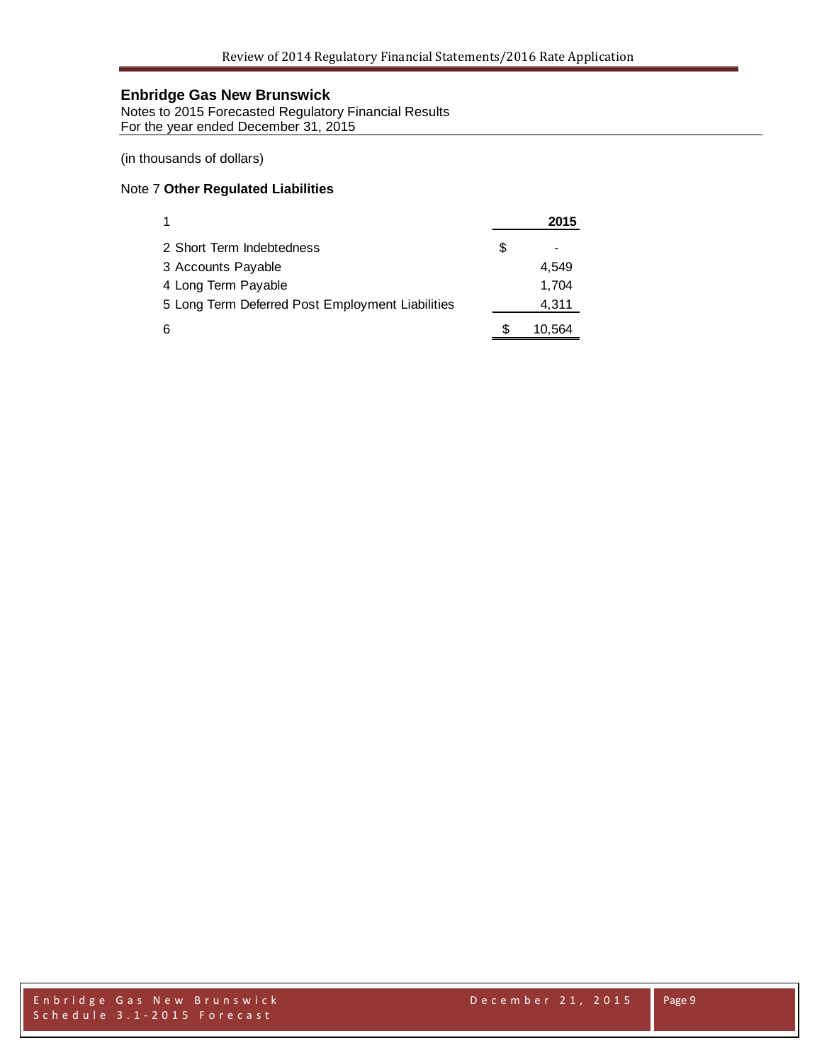Notes to 2015 Forecasted Regulatory Financial Results For the year ended December 31, 2015

(in thousands of dollars)

# Note 7 **Other Regulated Liabilities**

| $\mathbf 1$                                      | 2015   |
|--------------------------------------------------|--------|
| 2 Short Term Indebtedness                        | \$     |
| 3 Accounts Payable                               | 4.549  |
| 4 Long Term Payable                              | 1,704  |
| 5 Long Term Deferred Post Employment Liabilities | 4,311  |
| 6                                                | 10,564 |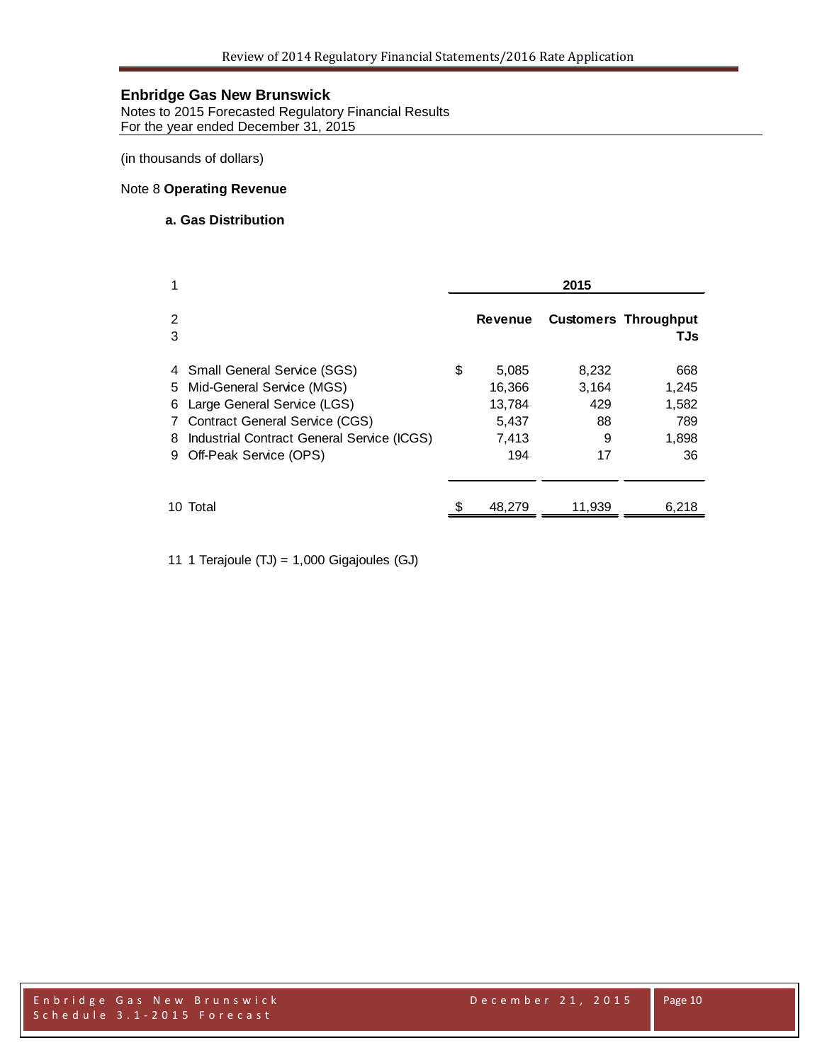Notes to 2015 Forecasted Regulatory Financial Results For the year ended December 31, 2015

(in thousands of dollars)

# Note 8 **Operating Revenue**

#### **a. Gas Distribution**

| 1                                                                                                                                                                                                                    | 2015 |                                                    |                                        |                                             |  |
|----------------------------------------------------------------------------------------------------------------------------------------------------------------------------------------------------------------------|------|----------------------------------------------------|----------------------------------------|---------------------------------------------|--|
| 2<br>3                                                                                                                                                                                                               |      | <b>Revenue</b>                                     |                                        | <b>Customers Throughput</b><br>TJs          |  |
| 4 Small General Service (SGS)<br>5 Mid-General Service (MGS)<br>Large General Service (LGS)<br>6<br>7 Contract General Service (CGS)<br>Industrial Contract General Service (ICGS)<br>8.<br>9 Off-Peak Service (OPS) | \$   | 5,085<br>16,366<br>13,784<br>5,437<br>7,413<br>194 | 8,232<br>3,164<br>429<br>88<br>9<br>17 | 668<br>1,245<br>1,582<br>789<br>1,898<br>36 |  |
| 10 Total                                                                                                                                                                                                             |      | 48,279                                             | 11,939                                 | 6,218                                       |  |

11 1 Terajoule (TJ) = 1,000 Gigajoules (GJ)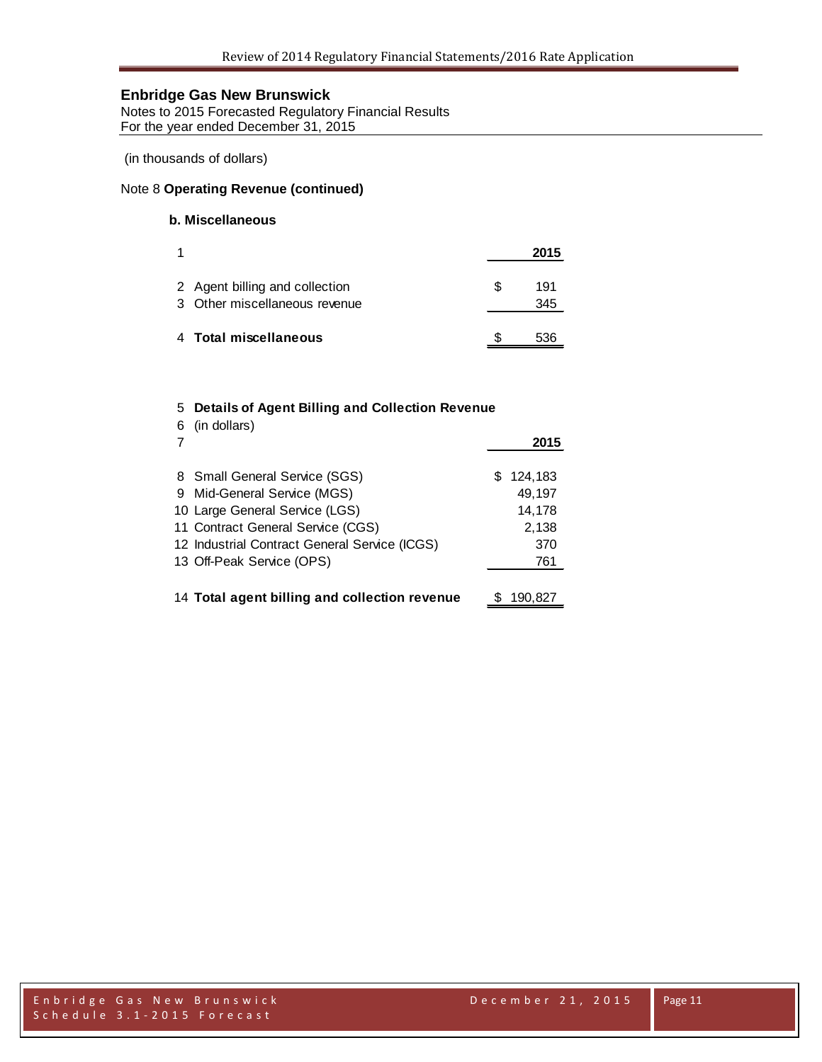Notes to 2015 Forecasted Regulatory Financial Results For the year ended December 31, 2015

(in thousands of dollars)

# Note 8 **Operating Revenue (continued)**

# **b. Miscellaneous**

|                                                                 |    | 2015       |
|-----------------------------------------------------------------|----|------------|
| 2 Agent billing and collection<br>3 Other miscellaneous revenue | S. | 191<br>345 |
| 4 Total miscellaneous                                           |    | 536        |

# 5 **Details of Agent Billing and Collection Revenue**

| 6 | (in dollars)                                  | 2015      |
|---|-----------------------------------------------|-----------|
|   | 8 Small General Service (SGS)                 | \$124,183 |
|   | 9 Mid-General Service (MGS)                   | 49.197    |
|   | 10 Large General Service (LGS)                | 14,178    |
|   | 11 Contract General Service (CGS)             | 2,138     |
|   | 12 Industrial Contract General Service (ICGS) | 370       |
|   | 13 Off-Peak Service (OPS)                     | 761       |
|   |                                               |           |
|   | 14 Total agent billing and collection revenue | 190,827   |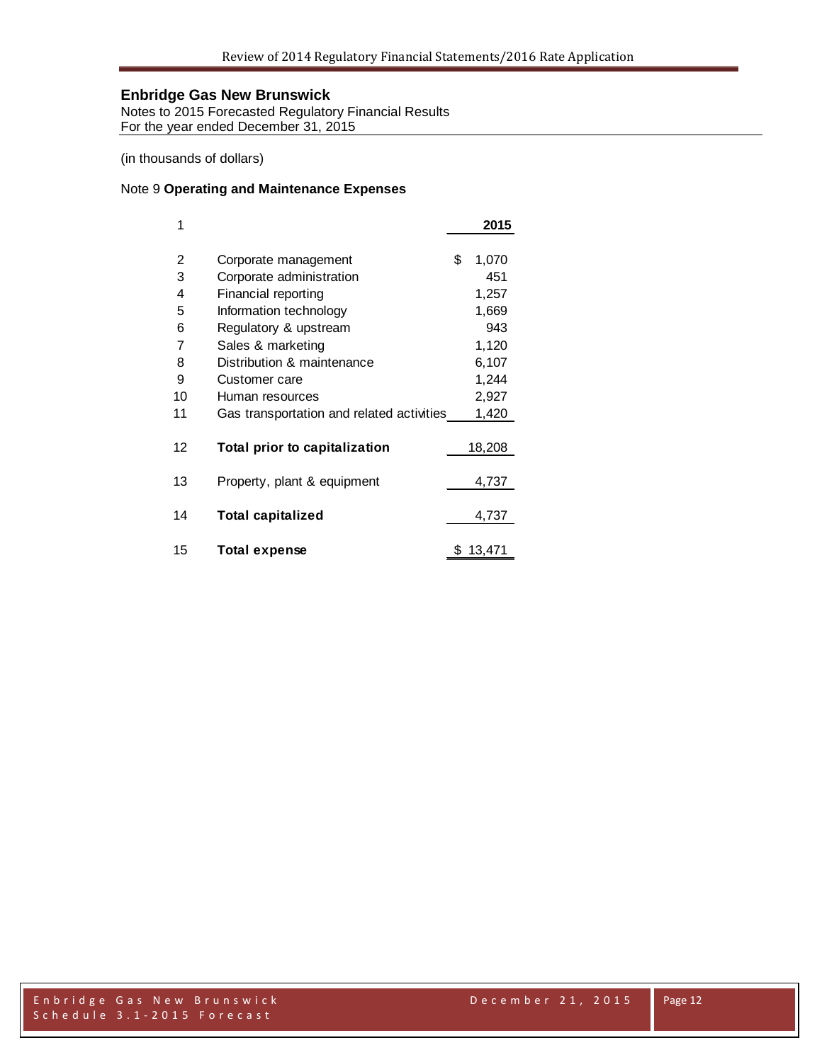Notes to 2015 Forecasted Regulatory Financial Results For the year ended December 31, 2015

(in thousands of dollars)

# Note 9 **Operating and Maintenance Expenses**

| 1  |                                           | 2015        |
|----|-------------------------------------------|-------------|
|    |                                           |             |
| 2  | Corporate management                      | \$<br>1,070 |
| 3  | Corporate administration                  | 451         |
| 4  | Financial reporting                       | 1,257       |
| 5  | Information technology                    | 1,669       |
| 6  | Regulatory & upstream                     | 943         |
| 7  | Sales & marketing                         | 1,120       |
| 8  | Distribution & maintenance                | 6,107       |
| 9  | Customer care                             | 1,244       |
| 10 | Human resources                           | 2,927       |
| 11 | Gas transportation and related activities | 1,420       |
|    |                                           |             |
| 12 | Total prior to capitalization             | 18,208      |
|    |                                           |             |
| 13 | Property, plant & equipment               | 4,737       |
|    |                                           |             |
| 14 | <b>Total capitalized</b>                  | 4,737       |
|    |                                           |             |
| 15 | <b>Total expense</b>                      | 13,471      |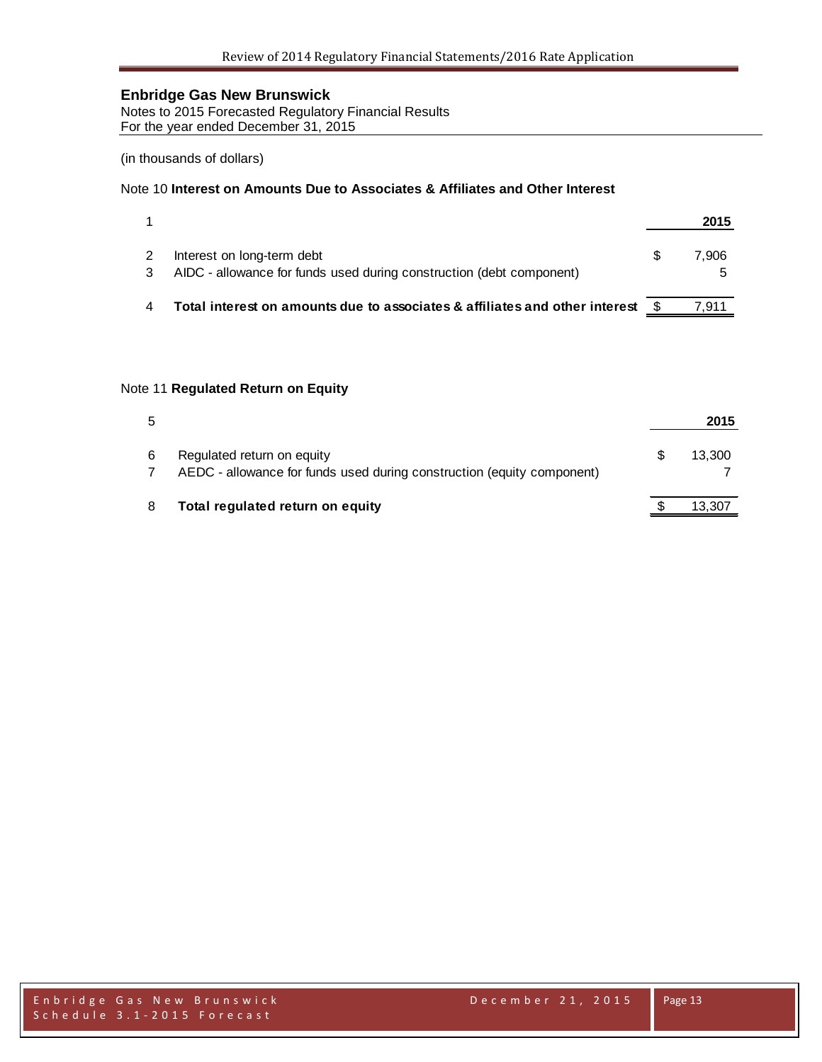Notes to 2015 Forecasted Regulatory Financial Results For the year ended December 31, 2015

(in thousands of dollars)

### Note 10 **Interest on Amounts Due to Associates & Affiliates and Other Interest**

|                                                                                                    | 2015  |
|----------------------------------------------------------------------------------------------------|-------|
| Interest on long-term debt<br>AIDC - allowance for funds used during construction (debt component) | 7.906 |
| Total interest on amounts due to associates & affiliates and other interest                        | 7.911 |

# Note 11 **Regulated Return on Equity**

| 5 |                                                                                                      | 2015   |
|---|------------------------------------------------------------------------------------------------------|--------|
| 6 | Regulated return on equity<br>AEDC - allowance for funds used during construction (equity component) | 13.300 |
| 8 | Total regulated return on equity                                                                     | 13,307 |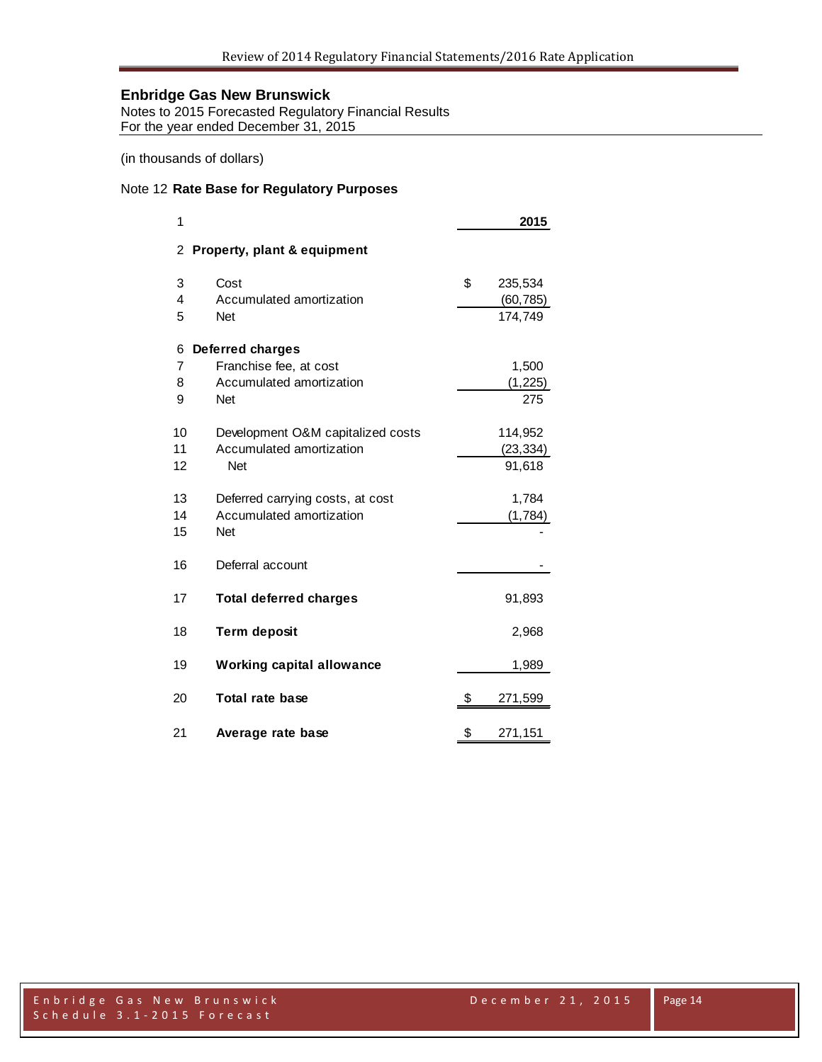Notes to 2015 Forecasted Regulatory Financial Results For the year ended December 31, 2015

(in thousands of dollars)

# Note 12 **Rate Base for Regulatory Purposes**

| 1  |                                   | 2015          |
|----|-----------------------------------|---------------|
| 2  | Property, plant & equipment       |               |
| 3  | Cost                              | \$<br>235,534 |
| 4  | Accumulated amortization          | (60, 785)     |
| 5  | <b>Net</b>                        | 174,749       |
| 6  | <b>Deferred charges</b>           |               |
| 7  | Franchise fee, at cost            | 1,500         |
| 8  | Accumulated amortization          | (1,225)       |
| 9  | <b>Net</b>                        | 275           |
| 10 | Development O&M capitalized costs | 114,952       |
| 11 | Accumulated amortization          | (23, 334)     |
| 12 | <b>Net</b>                        | 91,618        |
| 13 | Deferred carrying costs, at cost  | 1,784         |
| 14 | Accumulated amortization          | (1,784)       |
| 15 | <b>Net</b>                        |               |
| 16 | Deferral account                  |               |
| 17 | <b>Total deferred charges</b>     | 91,893        |
| 18 | <b>Term deposit</b>               | 2,968         |
| 19 | <b>Working capital allowance</b>  | 1,989         |
| 20 | <b>Total rate base</b>            | \$<br>271,599 |
| 21 | Average rate base                 | \$<br>271,151 |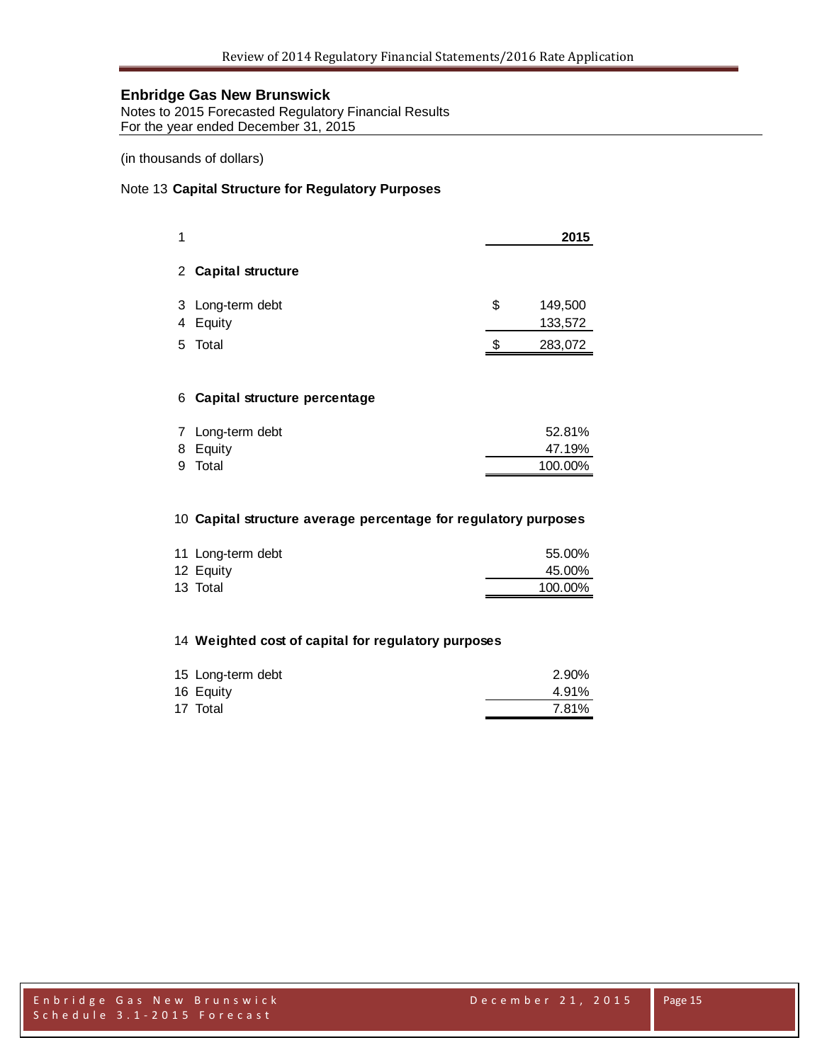Notes to 2015 Forecasted Regulatory Financial Results For the year ended December 31, 2015

(in thousands of dollars)

# Note 13 **Capital Structure for Regulatory Purposes**

|    |                              |    | 2015               |
|----|------------------------------|----|--------------------|
|    | 2 Capital structure          |    |                    |
| 4  | 3 Long-term debt<br>Equity   | \$ | 149,500<br>133,572 |
| 5. | Total                        | S  | 283,072            |
| 6  | Capital structure percentage |    |                    |

| 7 Long-term debt | 52.81%  |
|------------------|---------|
| 8 Equity         | 47.19%  |
| 9 Total          | 100.00% |

# **Capital structure average percentage for regulatory purposes**

|           | 11 Long-term debt | 55.00%  |
|-----------|-------------------|---------|
| 12 Equity |                   | 45.00%  |
| 13 Total  |                   | 100.00% |

# **Weighted cost of capital for regulatory purposes**

| 15 Long-term debt | 2.90% |
|-------------------|-------|
| 16 Equity         | 4.91% |
| 17 Total          | 7.81% |